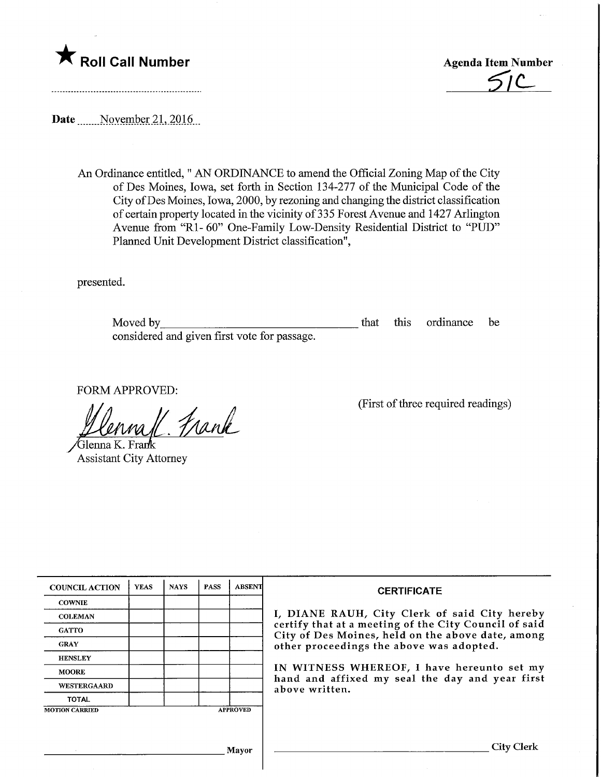



Date November 21, 2016

An Ordinance entitled," AN ORDINANCE to amend the Official Zoning Map of the City of Des Moines, Iowa, set forth in Section 134-277 of the Municipal Code of the City ofDes Moines, Iowa, 2000, by rezoning and changing the district classification of certain property located in the vicinity of 335 Forest Avenue and 1427 Arlington Avenue from "Rl- 60" One-Family Low-Density Residential District to "PUD" Planned Unit Development District classification",

presented.

Moved by\_ considered and given first vote for passage. that this ordinance be

FORM APPROVED:

1 Frank

Glenna K. Frank Assistant City Attorney

(First of three required readings)

| <b>COUNCIL ACTION</b> | <b>YEAS</b> | <b>NAYS</b> | <b>PASS</b> | <b>ABSENT</b>   | <b>CERTIFICATE</b>                                                                                                                                                                                                                                                        |
|-----------------------|-------------|-------------|-------------|-----------------|---------------------------------------------------------------------------------------------------------------------------------------------------------------------------------------------------------------------------------------------------------------------------|
| <b>COWNIE</b>         |             |             |             |                 |                                                                                                                                                                                                                                                                           |
| <b>COLEMAN</b>        |             |             |             |                 | I, DIANE RAUH, City Clerk of said City hereby                                                                                                                                                                                                                             |
| <b>GATTO</b>          |             |             |             |                 | certify that at a meeting of the City Council of said<br>City of Des Moines, held on the above date, among<br>other proceedings the above was adopted.<br>IN WITNESS WHEREOF, I have hereunto set my<br>hand and affixed my seal the day and year first<br>above written. |
| <b>GRAY</b>           |             |             |             |                 |                                                                                                                                                                                                                                                                           |
| <b>HENSLEY</b>        |             |             |             |                 |                                                                                                                                                                                                                                                                           |
| <b>MOORE</b>          |             |             |             |                 |                                                                                                                                                                                                                                                                           |
| <b>WESTERGAARD</b>    |             |             |             |                 |                                                                                                                                                                                                                                                                           |
| <b>TOTAL</b>          |             |             |             |                 |                                                                                                                                                                                                                                                                           |
| <b>MOTION CARRIED</b> |             |             |             | <b>APPROVED</b> |                                                                                                                                                                                                                                                                           |
|                       |             |             |             |                 |                                                                                                                                                                                                                                                                           |
|                       |             |             |             |                 |                                                                                                                                                                                                                                                                           |
| Mayor                 |             |             |             |                 | City Clerk                                                                                                                                                                                                                                                                |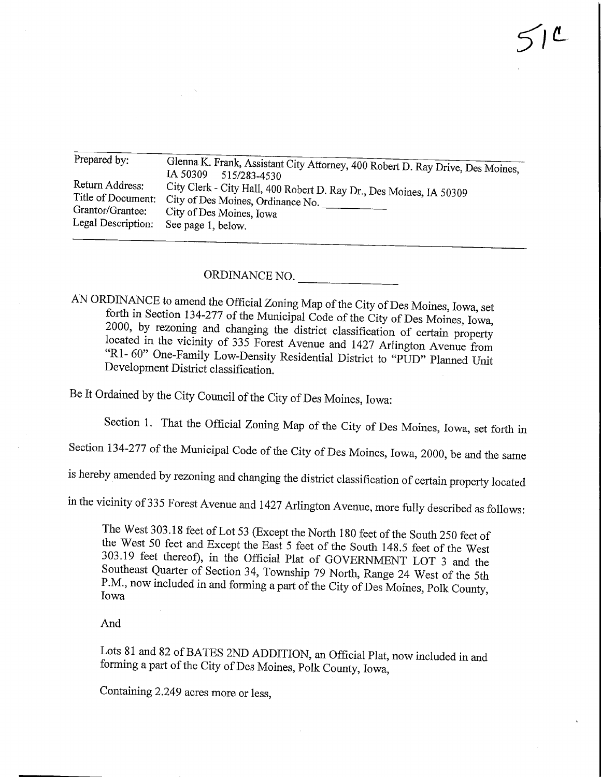| Prepared by:       |                                                                                |  |  |  |  |
|--------------------|--------------------------------------------------------------------------------|--|--|--|--|
|                    | Glenna K. Frank, Assistant City Attorney, 400 Robert D. Ray Drive, Des Moines, |  |  |  |  |
|                    | IA 50309<br>515/283-4530                                                       |  |  |  |  |
| Return Address:    | City Clerk - City Hall, 400 Robert D. Ray Dr., Des Moines, IA 50309            |  |  |  |  |
| Title of Document: | City of Des Moines, Ordinance No.                                              |  |  |  |  |
| Grantor/Grantee:   |                                                                                |  |  |  |  |
|                    | City of Des Moines, Iowa                                                       |  |  |  |  |
| Legal Description: | See page 1, below.                                                             |  |  |  |  |
|                    |                                                                                |  |  |  |  |

ORDINANCE NO.

AN ORDINANCE to amend the Official Zoning Map of the City of Des Moines, Iowa, set forth in Section 134-277 of the Municipal Code of the City of Des Moines, Iowa, 2000, by rezoning and changing the district classification of certain property located in the vicinity of 335 Forest Avenue and 1427 Arlington Avenue from  $R_1$ ,  $60$ <sup>n</sup> One Formity Lexis Deposits D. 11 at 151 at 1527 Arlington Avenue from  $R_{\text{P}}$  for  $R_{\text{unif}}$  Dow-Density Residential District to "PUD" Planned Unit Development District classification.

Be It Ordained by the City Council of the City of Des Moines, Iowa:

Section 1. That the Official Zoning Map of the City of Des Moines, Iowa, set forth in

Section 134-277 of the Municipal Code of the City of Des Moines, Iowa, 2000, be and the same

is hereby amended by rezoning and changing the district classification of certain property located

in the vicinity of 335 Forest Avenue and 1427 Arlington Avenue, more fully described as follows:

The West 303.18 feet of Lot 53 (Except the North 180 feet of the South 250 feet of 303.19 feet thereof), in the Official Plat of GOVERNMENT LOT 3 and the Southeast Quarter of Section 34, Township 79 North, Range 24 West of the 5th  $\mathcal{S}$  now included in and farming  $\mathcal{S}$  and  $\mathcal{S}$  at  $\mathcal{S}$  and  $\mathcal{S}$  and  $\mathcal{S}$  and  $\mathcal{S}$  and  $\mathcal{S}$  and  $\mathcal{S}$  and  $\mathcal{S}$  and  $\mathcal{S}$  and  $\mathcal{S}$  and  $\mathcal{S}$  and  $\mathcal{S}$  and  $\mathcal{S}$  and  $\math$  $\frac{m}{2}$   $\frac{m}{2}$  is and forming a part of the City of Des Moines, Polk County,

And

Lots 81 and 82 of BATES 2ND ADDITION, an Official Plat, now included in and forming a part of the City of Des Moines, Polk County, Iowa,

Containing 2.249 acres more or less,